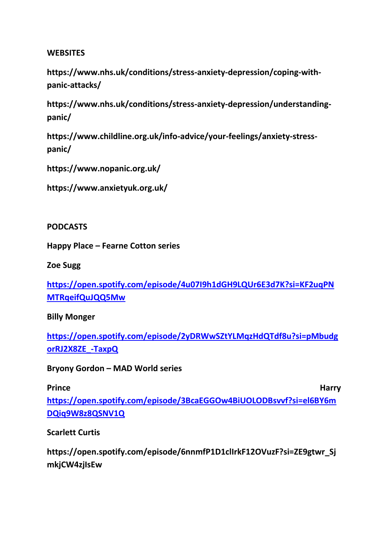#### **WEBSITES**

**[https://www.nhs.uk/conditions/stress-anxiety-depression/coping-with](https://www.nhs.uk/conditions/stress-anxiety-depression/coping-with-panic-attacks/)[panic-attacks/](https://www.nhs.uk/conditions/stress-anxiety-depression/coping-with-panic-attacks/)**

**[https://www.nhs.uk/conditions/stress-anxiety-depression/understanding](https://www.nhs.uk/conditions/stress-anxiety-depression/understanding-panic/)[panic/](https://www.nhs.uk/conditions/stress-anxiety-depression/understanding-panic/)**

**[https://www.childline.org.uk/info-advice/your-feelings/anxiety-stress](https://www.childline.org.uk/info-advice/your-feelings/anxiety-stress-panic/)[panic/](https://www.childline.org.uk/info-advice/your-feelings/anxiety-stress-panic/)**

**<https://www.nopanic.org.uk/>**

**<https://www.anxietyuk.org.uk/>**

**PODCASTS**

**Happy Place – Fearne Cotton series**

**Zoe Sugg**

**[https://open.spotify.com/episode/4u07I9h1dGH9LQUr6E3d7K?si=KF2uqPN](https://open.spotify.com/episode/4u07I9h1dGH9LQUr6E3d7K?si=KF2uqPNMTRqeifQuJQQ5Mw) [MTRqeifQuJQQ5Mw](https://open.spotify.com/episode/4u07I9h1dGH9LQUr6E3d7K?si=KF2uqPNMTRqeifQuJQQ5Mw)**

**Billy Monger**

**[https://open.spotify.com/episode/2yDRWwSZtYLMqzHdQTdf8u?si=pMbudg](https://open.spotify.com/episode/2yDRWwSZtYLMqzHdQTdf8u?si=pMbudgorRJ2X8ZE_-TaxpQ) [orRJ2X8ZE\\_-TaxpQ](https://open.spotify.com/episode/2yDRWwSZtYLMqzHdQTdf8u?si=pMbudgorRJ2X8ZE_-TaxpQ)**

**Bryony Gordon – MAD World series** 

**Prince Harry**  Harry *Prince* **[https://open.spotify.com/episode/3BcaEGGOw4BiUOLODBsvvf?si=el6BY6m](https://open.spotify.com/episode/3BcaEGGOw4BiUOLODBsvvf?si=el6BY6mDQiq9W8z8QSNV1Q) [DQiq9W8z8QSNV1Q](https://open.spotify.com/episode/3BcaEGGOw4BiUOLODBsvvf?si=el6BY6mDQiq9W8z8QSNV1Q)**

**Scarlett Curtis** 

**https://open.spotify.com/episode/6nnmfP1D1clIrkF12OVuzF?si=ZE9gtwr\_Sj mkjCW4zjIsEw**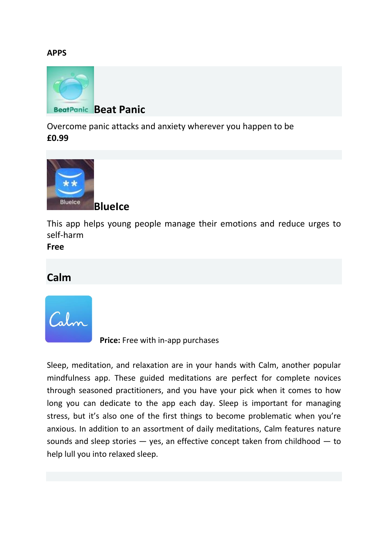#### **APPS**



[Overcome panic attacks and anxiety wherever you happen to be](https://www.nhs.uk/apps-library/beat-panic/) **[£0.99](https://www.nhs.uk/apps-library/beat-panic/)**



[This app helps young people manage their emotions and](https://www.nhs.uk/apps-library/blueice/) reduce urges to [self-harm](https://www.nhs.uk/apps-library/blueice/)

**[Free](https://www.nhs.uk/apps-library/blueice/)**

## **Calm**



**Price:** Free with in-app purchases

Sleep, meditation, and relaxation are in your hands with Calm, another popular mindfulness app. These guided meditations are perfect for complete novices through seasoned practitioners, and you have your pick when it comes to how long you can dedicate to the app each day. Sleep is important for managing stress, but it's also one of the first things to become problematic when you're anxious. In addition to an assortment of daily meditations, Calm features nature sounds and sleep stories — yes, an effective concept taken from childhood — to help lull you into relaxed sleep.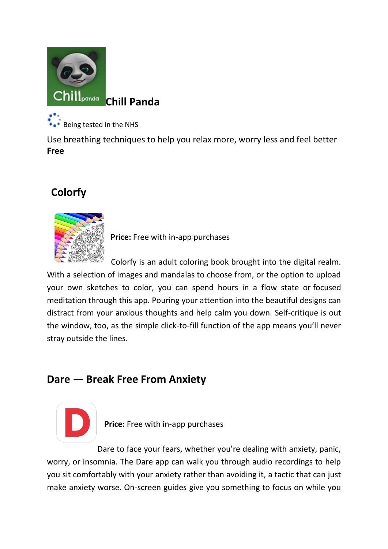

[Being tested in the NHS](https://www.nhs.uk/apps-library/chill-panda/)

[Use breathing techniques to help you relax more, worry less and feel better](https://www.nhs.uk/apps-library/chill-panda/) **[Free](https://www.nhs.uk/apps-library/chill-panda/)**

# **Colorfy**



**Price:** Free with in-app purchases

Colorfy is an adult coloring book brought into the digital realm. With a selection of images and mandalas to choose from, or the option to upload your own sketches to color, you can spend hours in a flow state or [focused](https://www.healthline.com/health/mental-health/types-of-meditation)  [meditation](https://www.healthline.com/health/mental-health/types-of-meditation) through this app. Pouring your attention into the beautiful designs can distract from your anxious thoughts and help calm you down. Self-critique is out the window, too, as the simple click-to-fill function of the app means you'll never stray outside the lines.

# **Dare — Break Free From Anxiety**



**Price:** Free with in-app purchases

Dare to face your fears, whether you're dealing with anxiety, panic, worry, or insomnia. The Dare app can walk you through audio recordings to help you sit comfortably with your anxiety rather than avoiding it, a tactic that can just make anxiety worse. On-screen guides give you something to focus on while you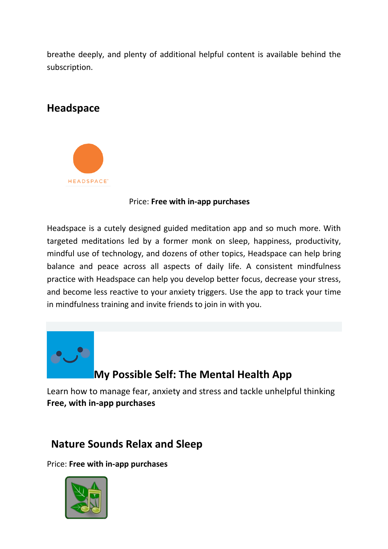breathe deeply, and plenty of additional helpful content is available behind the subscription.

# **Headspace**



#### Price: **Free with in-app purchases**

Headspace is a cutely designed guided meditation app and so much more. With targeted meditations led by a former monk on sleep, happiness, productivity, mindful use of technology, and dozens of other topics, Headspace can help bring balance and peace across all aspects of daily life. A consistent mindfulness practice with Headspace can help you develop better focus, decrease your stress, and become less reactive to your [anxiety triggers.](https://www.healthline.com/health/anxiety/anxiety-triggers) Use the app to track your time in mindfulness training and invite friends to join in with you.



# **[My Possible Self: The Mental Health App](https://www.nhs.uk/apps-library/my-possible-self/)**

[Learn how to manage fear, anxiety and stress and tackle unhelpful thinking](https://www.nhs.uk/apps-library/my-possible-self/) **[Free, with in-app purchases](https://www.nhs.uk/apps-library/my-possible-self/)**

# **Nature Sounds Relax and Sleep**

Price: **Free with in-app purchases**

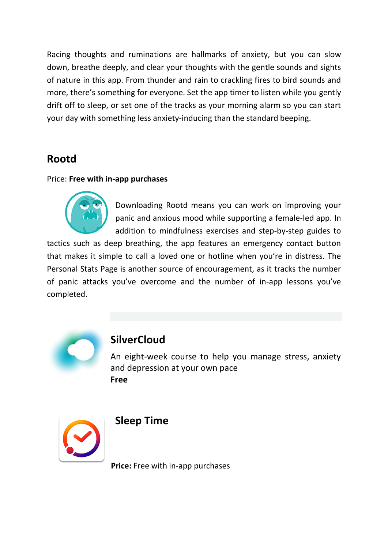Racing thoughts and ruminations are hallmarks of anxiety, but you can slow down, breathe deeply, and clear your thoughts with the gentle sounds and sights of nature in this app. From thunder and rain to crackling fires to bird sounds and more, there's something for everyone. Set the app timer to listen while you gently drift off to sleep, or set one of the tracks as your morning alarm so you can start your day with something less anxiety-inducing than the standard beeping.

# **Rootd**

#### Price: **Free with in-app purchases**



Downloading Rootd means you can work on improving your panic and anxious mood while supporting a female-led app. In addition to mindfulness exercises and step-by-step guides to

tactics such as deep breathing, the app features an emergency contact button that makes it simple to call a loved one or hotline when you're in distress. The Personal Stats Page is another source of encouragement, as it tracks the number of panic attacks you've overcome and the number of in-app lessons you've completed.



### **[SilverCloud](https://www.nhs.uk/apps-library/silvercloud/)**

[An eight-week course to help you manage stress, anxiety](https://www.nhs.uk/apps-library/silvercloud/)  [and depression at your own pace](https://www.nhs.uk/apps-library/silvercloud/) **[Free](https://www.nhs.uk/apps-library/silvercloud/)**



#### **Sleep Time**

**Price:** Free with in-app purchases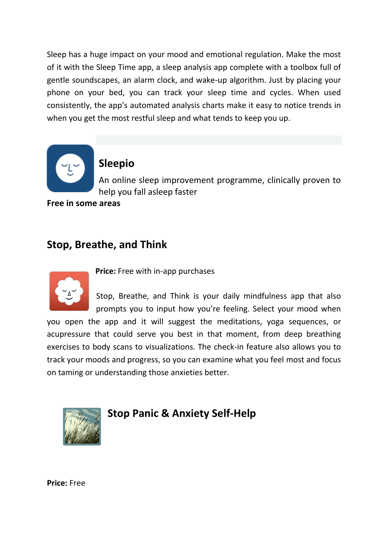Sleep has a huge impact on your mood and emotional regulation. Make the most of it with the Sleep Time app, a sleep analysis app complete with a toolbox full of gentle soundscapes, an alarm clock, and wake-up algorithm. Just by placing your phone on your bed, you can track your sleep time and cycles. When used consistently, the app's automated analysis charts make it easy to notice trends in when you get the most restful sleep and what tends to keep you up.



### **[Sleepio](https://www.nhs.uk/apps-library/sleepio/)**

[An online sleep improvement programme, clinically proven to](https://www.nhs.uk/apps-library/sleepio/)  [help you fall asleep faster](https://www.nhs.uk/apps-library/sleepio/)

**[Free in some areas](https://www.nhs.uk/apps-library/sleepio/)**

### **Stop, Breathe, and Think**



**Price:** Free with in-app purchases

Stop, Breathe, and Think is your daily mindfulness app that also prompts you to input how you're feeling. Select your mood when you open the app and it will suggest the meditations, yoga sequences, or acupressure that could serve you best in that moment, from deep breathing exercises to body scans to visualizations. The check-in feature also allows you to track your moods and progress, so you can examine what you feel most and focus on taming or understanding those anxieties better.



**Stop Panic & Anxiety Self-Help**

**Price:** Free